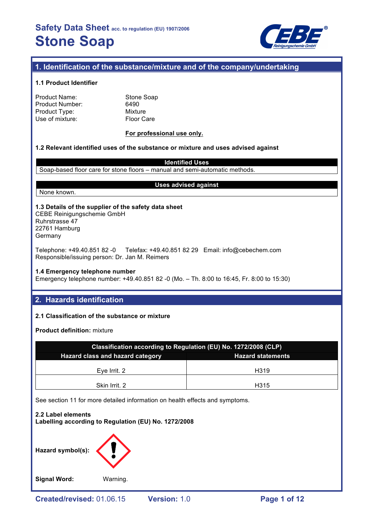

## **1. Identification of the substance/mixture and of the company/undertaking**

## **1.1 Product Identifier**

| Product Name:   |  |
|-----------------|--|
| Product Number: |  |
| Product Type:   |  |
| Use of mixture: |  |

Stone Soap 6490 **Mixture** Floor Care

## **For professional use only.**

## **1.2 Relevant identified uses of the substance or mixture and uses advised against**

**Identified Uses** Soap-based floor care for stone floors – manual and semi-automatic methods.

## None known.

## **Uses advised against**

**1.3 Details of the supplier of the safety data sheet** CEBE Reinigungschemie GmbH Ruhrstrasse 47 22761 Hamburg **Germany** 

Telephone: +49.40.851 82 -0 Telefax: +49.40.851 82 29 Email: info@cebechem.com Responsible/issuing person: Dr. Jan M. Reimers

## **1.4 Emergency telephone number**

Emergency telephone number: +49.40.851 82 -0 (Mo. – Th. 8:00 to 16:45, Fr. 8:00 to 15:30)

## **2. Hazards identification**

## **2.1 Classification of the substance or mixture**

**Product definition:** mixture

| Classification according to Regulation (EU) No. 1272/2008 (CLP) |      |  |  |  |
|-----------------------------------------------------------------|------|--|--|--|
| Hazard class and hazard category<br><b>Hazard statements</b>    |      |  |  |  |
| Eve Irrit, 2                                                    | H319 |  |  |  |
| Skin Irrit. 2                                                   | H315 |  |  |  |

See section 11 for more detailed information on health effects and symptoms.



**Signal Word:** Warning.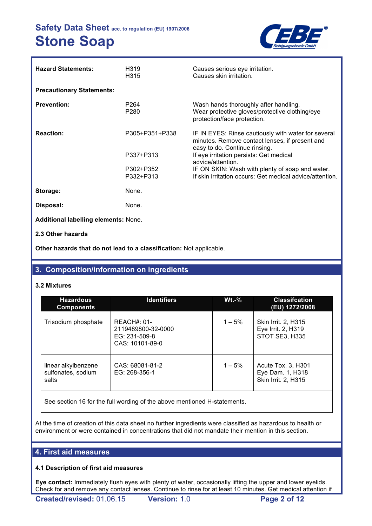

| <b>Hazard Statements:</b>                   | H <sub>3</sub> 19<br>H315            | Causes serious eye irritation.<br>Causes skin irritation.                                                                              |
|---------------------------------------------|--------------------------------------|----------------------------------------------------------------------------------------------------------------------------------------|
| <b>Precautionary Statements:</b>            |                                      |                                                                                                                                        |
| <b>Prevention:</b>                          | P <sub>264</sub><br>P <sub>280</sub> | Wash hands thoroughly after handling.<br>Wear protective gloves/protective clothing/eye<br>protection/face protection.                 |
| <b>Reaction:</b>                            | P305+P351+P338                       | IF IN EYES: Rinse cautiously with water for several<br>minutes. Remove contact lenses, if present and<br>easy to do. Continue rinsing. |
|                                             | P337+P313                            | If eye irritation persists: Get medical<br>advice/attention.                                                                           |
|                                             | P302+P352<br>P332+P313               | IF ON SKIN: Wash with plenty of soap and water.<br>If skin irritation occurs: Get medical advice/attention.                            |
|                                             |                                      |                                                                                                                                        |
| Storage:                                    | None.                                |                                                                                                                                        |
| Disposal:                                   | None.                                |                                                                                                                                        |
| <b>Additional labelling elements: None.</b> |                                      |                                                                                                                                        |

## **2.3 Other hazards**

**Other hazards that do not lead to a classification:** Not applicable.

## **3. Composition/information on ingredients**

## **3.2 Mixtures**

| <b>Hazardous</b><br><b>Components</b>              | <b>Identifiers</b>                                                      | <b>Wt.-%</b> | <b>Classifcation</b><br>(EU) 1272/2008                        |
|----------------------------------------------------|-------------------------------------------------------------------------|--------------|---------------------------------------------------------------|
| Trisodium phosphate                                | $REACH#: 01-$<br>2119489800-32-0000<br>EG: 231-509-8<br>CAS: 10101-89-0 | $1 - 5\%$    | Skin Irrit. 2, H315<br>Eye Irrit. 2, H319<br>STOT SE3, H335   |
| linear alkylbenzene<br>sulfonates, sodium<br>salts | CAS: 68081-81-2<br>EG: 268-356-1                                        | $1 - 5%$     | Acute Tox. 3, H301<br>Eye Dam. 1, H318<br>Skin Irrit. 2, H315 |

See section 16 for the full wording of the above mentioned H-statements.

At the time of creation of this data sheet no further ingredients were classified as hazardous to health or environment or were contained in concentrations that did not mandate their mention in this section.

## **4. First aid measures**

## **4.1 Description of first aid measures**

**Eye contact:** Immediately flush eyes with plenty of water, occasionally lifting the upper and lower eyelids. Check for and remove any contact lenses. Continue to rinse for at least 10 minutes. Get medical attention if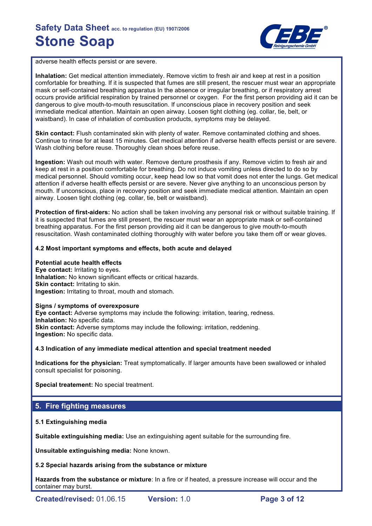

adverse health effects persist or are severe.

**Inhalation:** Get medical attention immediately. Remove victim to fresh air and keep at rest in a position comfortable for breathing. If it is suspected that fumes are still present, the rescuer must wear an appropriate mask or self-contained breathing apparatus In the absence or irregular breathing, or if respiratory arrest occurs provide artificial respiration by trained personnel or oxygen. For the first person providing aid it can be dangerous to give mouth-to-mouth resuscitation. If unconscious place in recovery position and seek immediate medical attention. Maintain an open airway. Loosen tight clothing (eg. collar, tie, belt, or waistband). In case of inhalation of combustion products, symptoms may be delayed.

**Skin contact:** Flush contaminated skin with plenty of water. Remove contaminated clothing and shoes. Continue to rinse for at least 15 minutes. Get medical attention if adverse health effects persist or are severe. Wash clothing before reuse. Thoroughly clean shoes before reuse.

**Ingestion:** Wash out mouth with water. Remove denture prosthesis if any. Remove victim to fresh air and keep at rest in a position comfortable for breathing. Do not induce vomiting unless directed to do so by medical personnel. Should vomiting occur, keep head low so that vomit does not enter the lungs. Get medical attention if adverse health effects persist or are severe. Never give anything to an unconscious person by mouth. If unconscious, place in recovery position and seek immediate medical attention. Maintain an open airway. Loosen tight clothing (eg. collar, tie, belt or waistband).

**Protection of first-aiders:** No action shall be taken involving any personal risk or without suitable training. If it is suspected that fumes are still present, the rescuer must wear an appropriate mask or self-contained breathing apparatus. For the first person providing aid it can be dangerous to give mouth-to-mouth resuscitation. Wash contaminated clothing thoroughly with water before you take them off or wear gloves.

## **4.2 Most important symptoms and effects, both acute and delayed**

### **Potential acute health effects**

**Eye contact:** Irritating to eyes. **Inhalation:** No known significant effects or critical hazards. **Skin contact: Irritating to skin. Ingestion:** Irritating to throat, mouth and stomach.

### **Signs / symptoms of overexposure**

**Eye contact:** Adverse symptoms may include the following: irritation, tearing, redness. **Inhalation:** No specific data. **Skin contact:** Adverse symptoms may include the following: irritation, reddening. **Ingestion:** No specific data.

### **4.3 Indication of any immediate medical attention and special treatment needed**

**Indications for the physician:** Treat symptomatically. If larger amounts have been swallowed or inhaled consult specialist for poisoning.

**Special treatement:** No special treatment.

## **5. Fire fighting measures**

### **5.1 Extinguishing media**

**Suitable extinguishing media:** Use an extinguishing agent suitable for the surrounding fire.

**Unsuitable extinguishing media:** None known.

### **5.2 Special hazards arising from the substance or mixture**

**Hazards from the substance or mixture**: In a fire or if heated, a pressure increase will occur and the container may burst.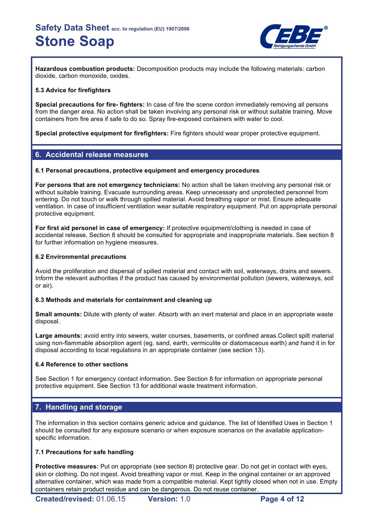

**Hazardous combustion products:** Decomposition products may include the following materials: carbon dioxide, carbon monoxide, oxides.

## **5.3 Advice for firefighters**

**Special precautions for fire- fighters:** In case of fire the scene cordon immediately removing all persons from the danger area. No action shall be taken involving any personal risk or without suitable training. Move containers from fire area if safe to do so. Spray fire-exposed containers with water to cool.

**Special protective equipment for firefighters:** Fire fighters should wear proper protective equipment.

## **6. Accidental release measures**

## **6.1 Personal precautions, protective equipment and emergency procedures**

**For persons that are not emergency technicians:** No action shall be taken involving any personal risk or without suitable training. Evacuate surrounding areas. Keep unnecessary and unprotected personnel from entering. Do not touch or walk through spilled material. Avoid breathing vapor or mist. Ensure adequate ventilation. In case of insufficient ventilation wear suitable respiratory equipment. Put on appropriate personal protective equipment.

**For first aid personel in case of emergency:** If protective equipment/clothing is needed in case of accidental release, Section 8 should be consulted for appropriate and inappropriate materials. See section 8 for further information on hygiene measures.

## **6.2 Environmental precautions**

Avoid the proliferation and dispersal of spilled material and contact with soil, waterways, drains and sewers. Inform the relevant authorities if the product has caused by environmental pollution (sewers, waterways, soil or air).

## **6.3 Methods and materials for containment and cleaning up**

**Small amounts:** Dilute with plenty of water. Absorb with an inert material and place in an appropriate waste disposal.

**Large amounts:** avoid entry into sewers, water courses, basements, or confined areas.Collect spilt material using non-flammable absorption agent (eg. sand, earth, vermiculite or diatomaceous earth) and hand it in for disposal according to local regulations in an appropriate container (see section 13).

## **6.4 Reference to other sections**

See Section 1 for emergency contact information. See Section 8 for information on appropriate personal protective equipment. See Section 13 for additional waste treatment information.

## **7. Handling and storage**

The information in this section contains generic advice and guidance. The list of Identified Uses in Section 1 should be consulted for any exposure scenario or when exposure scenarios on the available applicationspecific information.

## **7.1 Precautions for safe handling**

**Protective measures:** Put on appropriate (see section 8) protective gear. Do not get in contact with eyes, skin or clothing. Do not ingest. Avoid breathing vapor or mist. Keep in the original container or an approved alternative container, which was made from a compatible material. Kept tightly closed when not in use. Empty containers retain product residue and can be dangerous. Do not reuse container.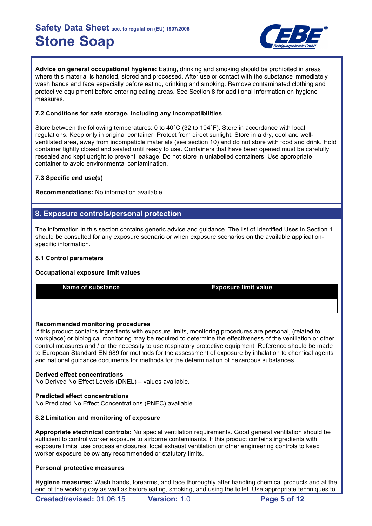

**Advice on general occupational hygiene:** Eating, drinking and smoking should be prohibited in areas where this material is handled, stored and processed. After use or contact with the substance immediately wash hands and face especially before eating, drinking and smoking. Remove contaminated clothing and protective equipment before entering eating areas. See Section 8 for additional information on hygiene measures.

## **7.2 Conditions for safe storage, including any incompatibilities**

Store between the following temperatures: 0 to 40°C (32 to 104°F). Store in accordance with local regulations. Keep only in original container. Protect from direct sunlight. Store in a dry, cool and wellventilated area, away from incompatible materials (see section 10) and do not store with food and drink. Hold container tightly closed and sealed until ready to use. Containers that have been opened must be carefully resealed and kept upright to prevent leakage. Do not store in unlabelled containers. Use appropriate container to avoid environmental contamination.

## **7.3 Specific end use(s)**

**Recommendations:** No information available.

## **8. Exposure controls/personal protection**

The information in this section contains generic advice and guidance. The list of Identified Uses in Section 1 should be consulted for any exposure scenario or when exposure scenarios on the available applicationspecific information.

## **8.1 Control parameters**

## **Occupational exposure limit values**

| <b>Name of substance</b> | <b>Exposure limit value</b> |
|--------------------------|-----------------------------|
|                          |                             |

## **Recommended monitoring procedures**

If this product contains ingredients with exposure limits, monitoring procedures are personal, (related to workplace) or biological monitoring may be required to determine the effectiveness of the ventilation or other control measures and / or the necessity to use respiratory protective equipment. Reference should be made to European Standard EN 689 for methods for the assessment of exposure by inhalation to chemical agents and national guidance documents for methods for the determination of hazardous substances.

## **Derived effect concentrations**

No Derived No Effect Levels (DNEL) – values available.

## **Predicted effect concentrations**

No Predicted No Effect Concentrations (PNEC) available.

## **8.2 Limitation and monitoring of exposure**

**Appropriate etechnical controls:** No special ventilation requirements. Good general ventilation should be sufficient to control worker exposure to airborne contaminants. If this product contains ingredients with exposure limits, use process enclosures, local exhaust ventilation or other engineering controls to keep worker exposure below any recommended or statutory limits.

## **Personal protective measures**

**Hygiene measures:** Wash hands, forearms, and face thoroughly after handling chemical products and at the end of the working day as well as before eating, smoking, and using the toilet. Use appropriate techniques to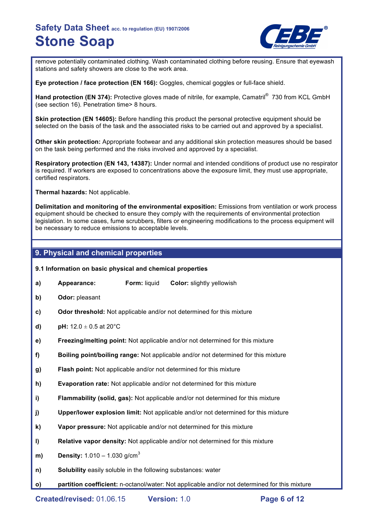

remove potentially contaminated clothing. Wash contaminated clothing before reusing. Ensure that eyewash stations and safety showers are close to the work area.

**Eye protection / face protection (EN 166):** Goggles, chemical goggles or full-face shield.

Hand protection (EN 374): Protective gloves made of nitrile, for example, Camatril<sup>®</sup> 730 from KCL GmbH (see section 16). Penetration time> 8 hours.

**Skin protection (EN 14605):** Before handling this product the personal protective equipment should be selected on the basis of the task and the associated risks to be carried out and approved by a specialist.

**Other skin protection:** Appropriate footwear and any additional skin protection measures should be based on the task being performed and the risks involved and approved by a specialist.

**Respiratory protection (EN 143, 14387):** Under normal and intended conditions of product use no respirator is required. If workers are exposed to concentrations above the exposure limit, they must use appropriate, certified respirators.

**Thermal hazards:** Not applicable.

**Delimitation and monitoring of the environmental exposition:** Emissions from ventilation or work process equipment should be checked to ensure they comply with the requirements of environmental protection legislation. In some cases, fume scrubbers, filters or engineering modifications to the process equipment will be necessary to reduce emissions to acceptable levels.

## **9. Physical and chemical properties**

### **9.1 Information on basic physical and chemical properties**

- **a) Appearance: Form:** liquid **Color:** slightly yellowish
- **b) Odor:** pleasant
- **c) Odor threshold:** Not applicable and/or not determined for this mixture
- **d) pH:**  $12.0 \pm 0.5$  at  $20^{\circ}$ C
- **e) Freezing/melting point:** Not applicable and/or not determined for this mixture
- **f) Boiling point/boiling range:** Not applicable and/or not determined for this mixture
- **g) Flash point:** Not applicable and/or not determined for this mixture
- **h) Evaporation rate:** Not applicable and/or not determined for this mixture
- **i) Flammability (solid, gas):** Not applicable and/or not determined for this mixture
- **j) Upper/lower explosion limit:** Not applicable and/or not determined for this mixture
- **k) Vapor pressure:** Not applicable and/or not determined for this mixture
- **l) Relative vapor density:** Not applicable and/or not determined for this mixture
- **m) Density:** 1.010 1.030 g/cm<sup>3</sup>
- **n) Solubility** easily soluble in the following substances: water
- **o) partition coefficient:** n-octanol/water: Not applicable and/or not determined for this mixture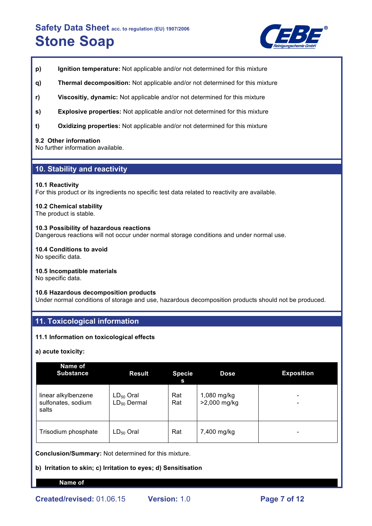

- **p) Ignition temperature:** Not applicable and/or not determined for this mixture
- **q) Thermal decomposition:** Not applicable and/or not determined for this mixture
- **r) Viscositiy, dynamic:** Not applicable and/or not determined for this mixture
- **s) Explosive properties:** Not applicable and/or not determined for this mixture
- **t) Oxidizing properties:** Not applicable and/or not determined for this mixture

### **9.2 Other information**

No further information available.

## **10. Stability and reactivity**

### **10.1 Reactivity**

For this product or its ingredients no specific test data related to reactivity are available.

## **10.2 Chemical stability**

The product is stable.

## **10.3 Possibility of hazardous reactions**

Dangerous reactions will not occur under normal storage conditions and under normal use.

## **10.4 Conditions to avoid**

No specific data.

### **10.5 Incompatible materials**

No specific data.

### **10.6 Hazardous decomposition products**

Under normal conditions of storage and use, hazardous decomposition products should not be produced.

## **11. Toxicological information**

## **11.1 Information on toxicological effects**

**a) acute toxicity:**

| <b>Name of</b><br><b>Substance</b>                 | <b>Result</b>                      | <b>Specie</b><br>S | <b>Dose</b>                 | <b>Exposition</b> |
|----------------------------------------------------|------------------------------------|--------------------|-----------------------------|-------------------|
| linear alkylbenzene<br>sulfonates, sodium<br>salts | $LD_{50}$ Oral<br>$LD_{50}$ Dermal | Rat<br>Rat         | 1,080 mg/kg<br>>2,000 mg/kg |                   |
| Trisodium phosphate                                | $LD_{50}$ Oral                     | Rat                | 7,400 mg/kg                 |                   |

**Conclusion/Summary:** Not determined for this mixture.

**b) Irritation to skin; c) Irritation to eyes; d) Sensitisation**

### **Name of**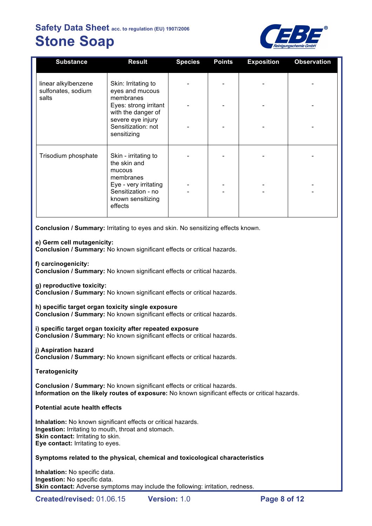

| <b>Substance</b>                          | <b>Result</b>                                                               | <b>Species</b> | <b>Points</b> | <b>Exposition</b> | <b>Observation</b> |
|-------------------------------------------|-----------------------------------------------------------------------------|----------------|---------------|-------------------|--------------------|
| linear alkylbenzene<br>sulfonates, sodium | Skin: Irritating to<br>eyes and mucous                                      |                |               |                   |                    |
| salts                                     | membranes<br>Eyes: strong irritant<br>with the danger of                    |                |               |                   |                    |
|                                           | severe eye injury<br>Sensitization: not<br>sensitizing                      |                |               |                   |                    |
| Trisodium phosphate                       | Skin - irritating to<br>the skin and<br>mucous<br>membranes                 |                |               |                   |                    |
|                                           | Eye - very irritating<br>Sensitization - no<br>known sensitizing<br>effects |                |               |                   |                    |

**Conclusion / Summary:** Irritating to eyes and skin. No sensitizing effects known.

## **e) Germ cell mutagenicity:**

**Conclusion / Summary:** No known significant effects or critical hazards.

**f) carcinogenicity:**

**Conclusion / Summary:** No known significant effects or critical hazards.

**g) reproductive toxicity:**

**Conclusion / Summary:** No known significant effects or critical hazards.

**h) specific target organ toxicity single exposure**

**Conclusion / Summary:** No known significant effects or critical hazards.

**i) specific target organ toxicity after repeated exposure Conclusion / Summary:** No known significant effects or critical hazards.

**j) Aspiration hazard**

**Conclusion / Summary:** No known significant effects or critical hazards.

**Teratogenicity**

**Conclusion / Summary:** No known significant effects or critical hazards. **Information on the likely routes of exposure:** No known significant effects or critical hazards.

**Potential acute health effects**

**Inhalation:** No known significant effects or critical hazards. **Ingestion:** Irritating to mouth, throat and stomach. **Skin contact: Irritating to skin. Eye contact:** Irritating to eyes.

## **Symptoms related to the physical, chemical and toxicological characteristics**

**Inhalation:** No specific data. **Ingestion:** No specific data. **Skin contact:** Adverse symptoms may include the following: irritation, redness.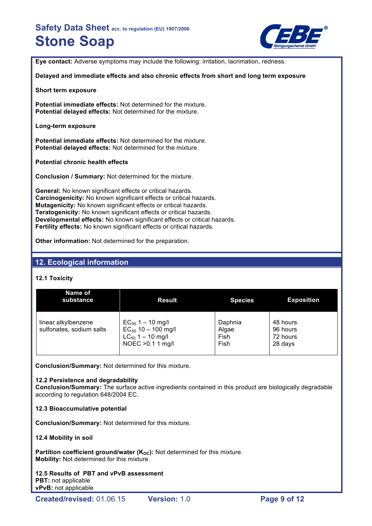

**Eye contact:** Adverse symptoms may include the following: irritation, lacrimation, redness.

**Delayed and immediate effects and also chronic effects from short and long term exposure**

**Short term exposure**

**Potential immediate effects:** Not determined for the mixture. **Potential delayed effects:** Not determined for the mixture.

**Long-term exposure**

**Potential immediate effects:** Not determined for the mixture. **Potential delayed effects:** Not determined for the mixture.

**Potential chronic health effects**

**Conclusion / Summary:** Not determined for the mixture.

**General:** No known significant effects or critical hazards. **Carcinogenicity:** No known significant effects or critical hazards. **Mutagenicity:** No known significant effects or critical hazards. **Teratogenicity:** No known significant effects or critical hazards. **Developmental effects:** No known significant effects or critical hazards. **Fertility effects:** No known significant effects or critical hazards.

**Other information:** Not determined for the preparation.

## **12. Ecological information**

## **12.1 Toxicity**

| Name of<br>substance                            | <b>Result</b>                                                                                  | <b>Species</b>                   | <b>Exposition</b>                           |
|-------------------------------------------------|------------------------------------------------------------------------------------------------|----------------------------------|---------------------------------------------|
| linear alkylbenzene<br>sulfonates, sodium salts | $EC_{50}$ 1 – 10 mg/l<br>$EC_{50}$ 10 - 100 mg/l<br>$LC_{50}$ 1 – 10 mg/l<br>NOEC > 0.1 1 mg/l | Daphnia<br>Algae<br>Fish<br>Fish | 48 hours<br>96 hours<br>72 hours<br>28 days |

**Conclusion/Summary:** Not determined for this mixture.

## **12.2 Persistence and degradability**

**Conclusion/Summary:** The surface active ingredients contained in this product are biologically degradable according to regulation 648/2004 EC.

## **12.3 Bioaccumulative potential**

**Conclusion/Summary:** Not determined for this mixture.

## **12.4 Mobility in soil**

**Partition coefficient ground/water (K<sub>oc</sub>):** Not determined for this mixture. **Mobility:** Not determined for this mixture.

**12.5 Results of PBT and vPvB assessment PBT:** not applicable **vPvB:** not applicable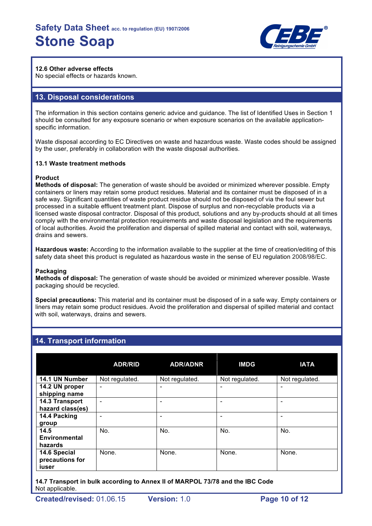

## **12.6 Other adverse effects**

No special effects or hazards known.

## **13. Disposal considerations**

The information in this section contains generic advice and guidance. The list of Identified Uses in Section 1 should be consulted for any exposure scenario or when exposure scenarios on the available applicationspecific information.

Waste disposal according to EC Directives on waste and hazardous waste. Waste codes should be assigned by the user, preferably in collaboration with the waste disposal authorities.

### **13.1 Waste treatment methods**

## **Product**

**Methods of disposal:** The generation of waste should be avoided or minimized wherever possible. Empty containers or liners may retain some product residues. Material and its container must be disposed of in a safe way. Significant quantities of waste product residue should not be disposed of via the foul sewer but processed in a suitable effluent treatment plant. Dispose of surplus and non-recyclable products via a licensed waste disposal contractor. Disposal of this product, solutions and any by-products should at all times comply with the environmental protection requirements and waste disposal legislation and the requirements of local authorities. Avoid the proliferation and dispersal of spilled material and contact with soil, waterways, drains and sewers.

**Hazardous waste:** According to the information available to the supplier at the time of creation/editing of this safety data sheet this product is regulated as hazardous waste in the sense of EU regulation 2008/98/EC.

### **Packaging**

**Methods of disposal:** The generation of waste should be avoided or minimized wherever possible. Waste packaging should be recycled.

**Special precautions:** This material and its container must be disposed of in a safe way. Empty containers or liners may retain some product residues. Avoid the proliferation and dispersal of spilled material and contact with soil, waterways, drains and sewers.

## **14. Transport information**

|                                          | <b>ADR/RID</b> | <b>ADR/ADNR</b> | <b>IMDG</b>    | <b>IATA</b>              |
|------------------------------------------|----------------|-----------------|----------------|--------------------------|
| 14.1 UN Number                           | Not regulated. | Not regulated.  | Not regulated. | Not regulated.           |
| 14.2 UN proper<br>shipping name          | $\blacksquare$ |                 | -              | $\overline{\phantom{0}}$ |
| 14.3 Transport<br>hazard class(es)       | -              |                 |                |                          |
| 14.4 Packing<br>group                    |                |                 |                |                          |
| 14.5<br><b>Environmental</b><br>hazards  | No.            | No.             | No.            | No.                      |
| 14.6 Special<br>precautions for<br>iuser | None.          | None.           | None.          | None.                    |

**14.7 Transport in bulk according to Annex II of MARPOL 73/78 and the IBC Code** Not applicable.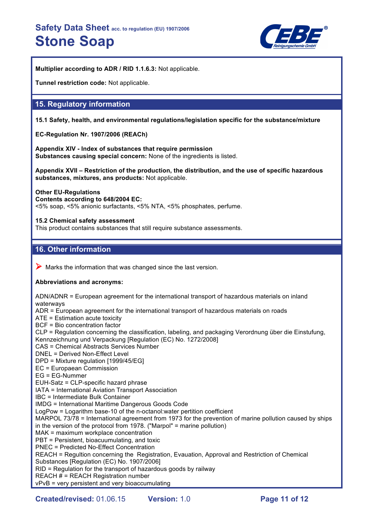

**Multiplier according to ADR / RID 1.1.6.3:** Not applicable.

**Tunnel restriction code:** Not applicable.

## **15. Regulatory information**

**15.1 Safety, health, and environmental regulations/legislation specific for the substance/mixture**

**EC-Regulation Nr. 1907/2006 (REACh)**

**Appendix XIV - Index of substances that require permission Substances causing special concern:** None of the ingredients is listed.

**Appendix XVII – Restriction of the production, the distribution, and the use of specific hazardous substances, mixtures, ans products:** Not applicable.

**Other EU-Regulations Contents according to 648/2004 EC:** <5% soap, <5% anionic surfactants, <5% NTA, <5% phosphates, perfume.

**15.2 Chemical safety assessment** This product contains substances that still require substance assessments.

## **16. Other information**

 $\triangleright$  Marks the information that was changed since the last version.

## **Abbreviations and acronyms:**

ADN/ADNR = European agreement for the international transport of hazardous materials on inland waterways ADR = European agreement for the international transport of hazardous materials on roads ATE = Estimation acute toxicity BCF = Bio concentration factor CLP = Regulation concerning the classification, labeling, and packaging Verordnung über die Einstufung, Kennzeichnung und Verpackung [Regulation (EC) No. 1272/2008] CAS = Chemical Abstracts Services Number DNEL = Derived Non-Effect Level DPD = Mixture regulation [1999/45/EG] EC = Europaean Commission EG = EG-Nummer EUH-Satz = CLP-specific hazard phrase IATA = International Aviation Transport Association IBC = Intermediate Bulk Container IMDG = International Maritime Dangerous Goods Code LogPow = Logarithm base-10 of the n-octanol:water pertition coefficient MARPOL 73/78 = International agreement from 1973 for the prevention of marine pollution caused by ships in the version of the protocol from 1978. ("Marpol" = marine pollution) MAK = maximum workplace concentration PBT = Persistent, bioacuumulating, and toxic PNEC = Predicted No-Effect Concentration REACH = Regultion concerning the Registration, Evauation, Approval and Restriction of Chemical Substances [Regulation (EC) No. 1907/2006] RID = Regulation for the transport of hazardous goods by railway REACH # = REACH Registration number vPvB = very persistent and very bioaccumulating